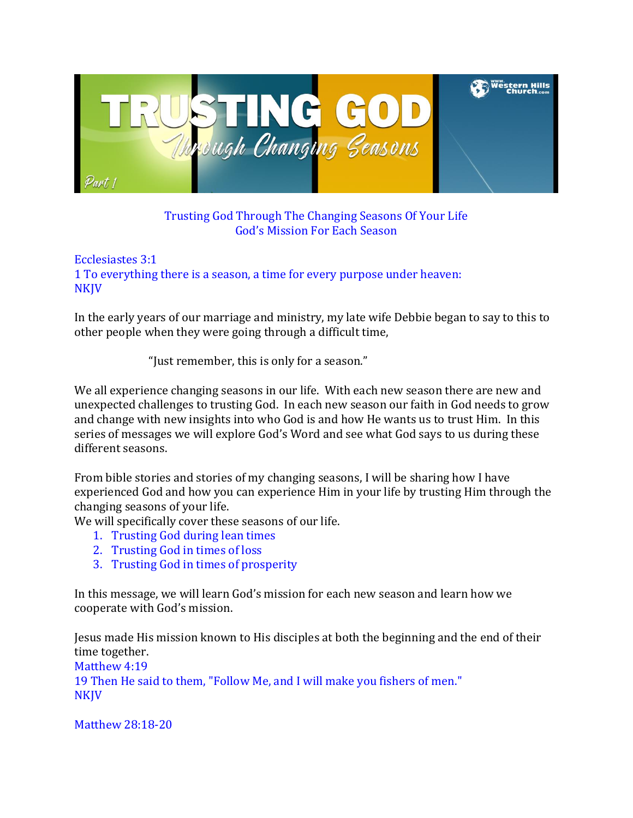

Trusting God Through The Changing Seasons Of Your Life God's Mission For Each Season

Ecclesiastes 3:1 1 To everything there is a season, a time for every purpose under heaven: **NKJV** 

In the early years of our marriage and ministry, my late wife Debbie began to say to this to other people when they were going through a difficult time,

"Just remember, this is only for a season."

We all experience changing seasons in our life. With each new season there are new and unexpected challenges to trusting God. In each new season our faith in God needs to grow and change with new insights into who God is and how He wants us to trust Him. In this series of messages we will explore God's Word and see what God says to us during these different seasons.

From bible stories and stories of my changing seasons, I will be sharing how I have experienced God and how you can experience Him in your life by trusting Him through the changing seasons of your life.

We will specifically cover these seasons of our life.

- 1. Trusting God during lean times
- 2. Trusting God in times of loss
- 3. Trusting God in times of prosperity

In this message, we will learn God's mission for each new season and learn how we cooperate with God's mission.

Jesus made His mission known to His disciples at both the beginning and the end of their time together.

Matthew 4:19 19 Then He said to them, "Follow Me, and I will make you fishers of men." NKJV

Matthew 28:18-20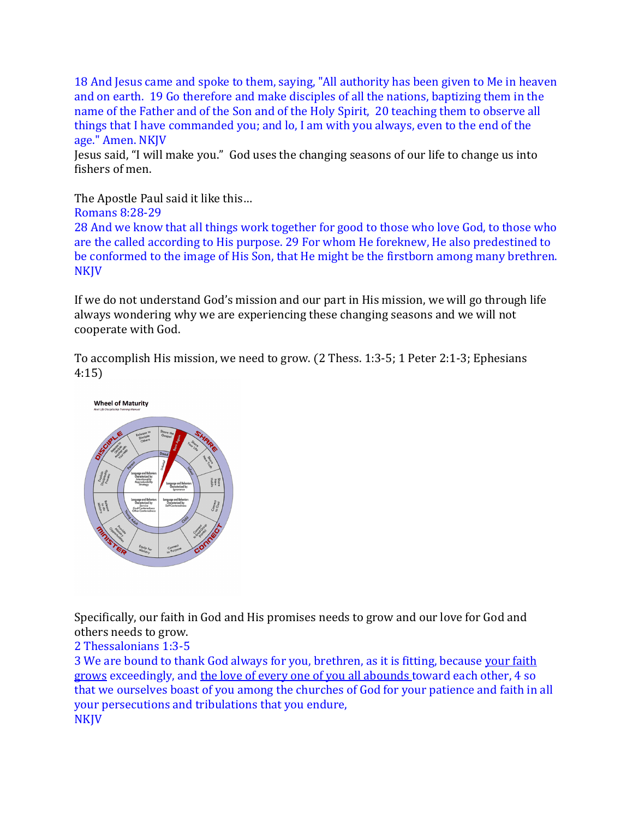18 And Jesus came and spoke to them, saying, "All authority has been given to Me in heaven and on earth. 19 Go therefore and make disciples of all the nations, baptizing them in the name of the Father and of the Son and of the Holy Spirit, 20 teaching them to observe all things that I have commanded you; and lo, I am with you always, even to the end of the age." Amen. NKJV

Jesus said, "I will make you." God uses the changing seasons of our life to change us into fishers of men.

The Apostle Paul said it like this…

Romans 8:28-29

28 And we know that all things work together for good to those who love God, to those who are the called according to His purpose. 29 For whom He foreknew, He also predestined to be conformed to the image of His Son, that He might be the firstborn among many brethren. **NKJV** 

If we do not understand God's mission and our part in His mission, we will go through life always wondering why we are experiencing these changing seasons and we will not cooperate with God.

To accomplish His mission, we need to grow. (2 Thess. 1:3-5; 1 Peter 2:1-3; Ephesians 4:15)



Specifically, our faith in God and His promises needs to grow and our love for God and others needs to grow.

### 2 Thessalonians 1:3-5

3 We are bound to thank God always for you, brethren, as it is fitting, because your faith grows exceedingly, and the love of every one of you all abounds toward each other, 4 so that we ourselves boast of you among the churches of God for your patience and faith in all your persecutions and tribulations that you endure, NKJV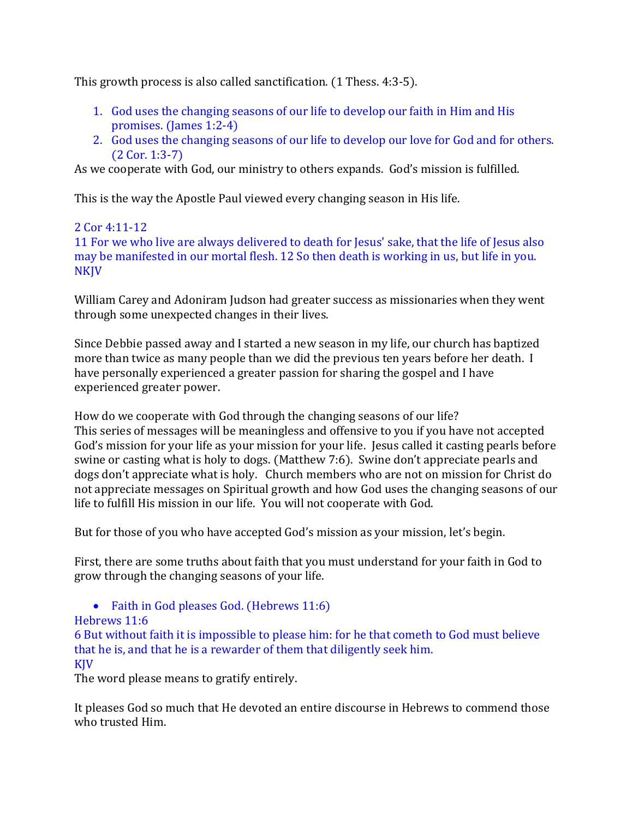This growth process is also called sanctification. (1 Thess. 4:3-5).

- 1. God uses the changing seasons of our life to develop our faith in Him and His promises. (James 1:2-4)
- 2. God uses the changing seasons of our life to develop our love for God and for others. (2 Cor. 1:3-7)

As we cooperate with God, our ministry to others expands. God's mission is fulfilled.

This is the way the Apostle Paul viewed every changing season in His life.

### 2 Cor 4:11-12

11 For we who live are always delivered to death for Jesus' sake, that the life of Jesus also may be manifested in our mortal flesh. 12 So then death is working in us, but life in you. NKJV

William Carey and Adoniram Judson had greater success as missionaries when they went through some unexpected changes in their lives.

Since Debbie passed away and I started a new season in my life, our church has baptized more than twice as many people than we did the previous ten years before her death. I have personally experienced a greater passion for sharing the gospel and I have experienced greater power.

How do we cooperate with God through the changing seasons of our life? This series of messages will be meaningless and offensive to you if you have not accepted God's mission for your life as your mission for your life. Jesus called it casting pearls before swine or casting what is holy to dogs. (Matthew 7:6). Swine don't appreciate pearls and dogs don't appreciate what is holy. Church members who are not on mission for Christ do not appreciate messages on Spiritual growth and how God uses the changing seasons of our life to fulfill His mission in our life. You will not cooperate with God.

But for those of you who have accepted God's mission as your mission, let's begin.

First, there are some truths about faith that you must understand for your faith in God to grow through the changing seasons of your life.

• Faith in God pleases God. (Hebrews 11:6)

### Hebrews 11:6

6 But without faith it is impossible to please him: for he that cometh to God must believe that he is, and that he is a rewarder of them that diligently seek him. KJV

The word please means to gratify entirely.

It pleases God so much that He devoted an entire discourse in Hebrews to commend those who trusted Him.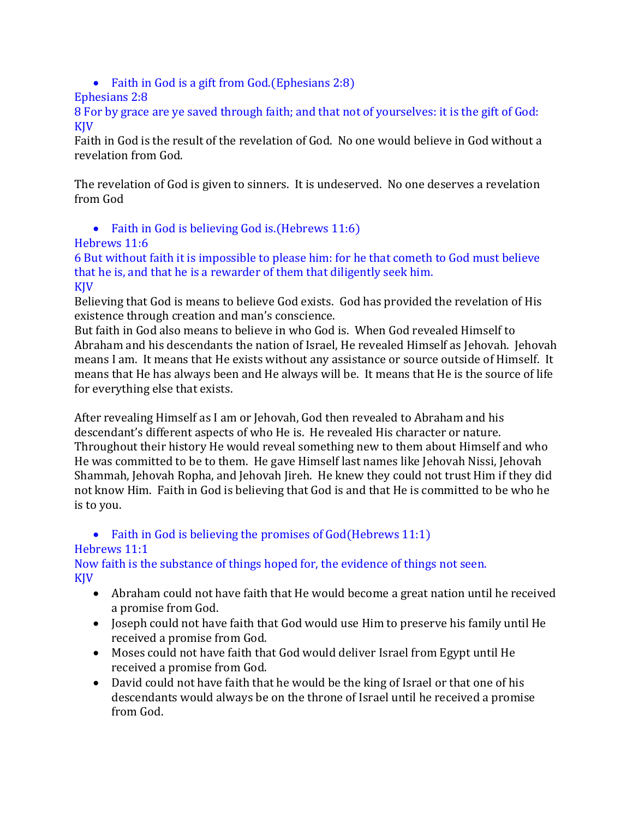• Faith in God is a gift from God.(Ephesians 2:8)

### Ephesians 2:8

8 For by grace are ye saved through faith; and that not of yourselves: it is the gift of God: **KIV** 

Faith in God is the result of the revelation of God. No one would believe in God without a revelation from God.

The revelation of God is given to sinners. It is undeserved. No one deserves a revelation from God

• Faith in God is believing God is. (Hebrews 11:6)

## Hebrews 11:6

6 But without faith it is impossible to please him: for he that cometh to God must believe that he is, and that he is a rewarder of them that diligently seek him. KJV

Believing that God is means to believe God exists. God has provided the revelation of His existence through creation and man's conscience.

But faith in God also means to believe in who God is. When God revealed Himself to Abraham and his descendants the nation of Israel, He revealed Himself as Jehovah. Jehovah means I am. It means that He exists without any assistance or source outside of Himself. It means that He has always been and He always will be. It means that He is the source of life for everything else that exists.

After revealing Himself as I am or Jehovah, God then revealed to Abraham and his descendant's different aspects of who He is. He revealed His character or nature. Throughout their history He would reveal something new to them about Himself and who He was committed to be to them. He gave Himself last names like Jehovah Nissi, Jehovah Shammah, Jehovah Ropha, and Jehovah Jireh. He knew they could not trust Him if they did not know Him. Faith in God is believing that God is and that He is committed to be who he is to you.

# • Faith in God is believing the promises of God(Hebrews 11:1)

# Hebrews 11:1

Now faith is the substance of things hoped for, the evidence of things not seen. KJV

- Abraham could not have faith that He would become a great nation until he received a promise from God.
- Joseph could not have faith that God would use Him to preserve his family until He received a promise from God.
- Moses could not have faith that God would deliver Israel from Egypt until He received a promise from God.
- David could not have faith that he would be the king of Israel or that one of his descendants would always be on the throne of Israel until he received a promise from God.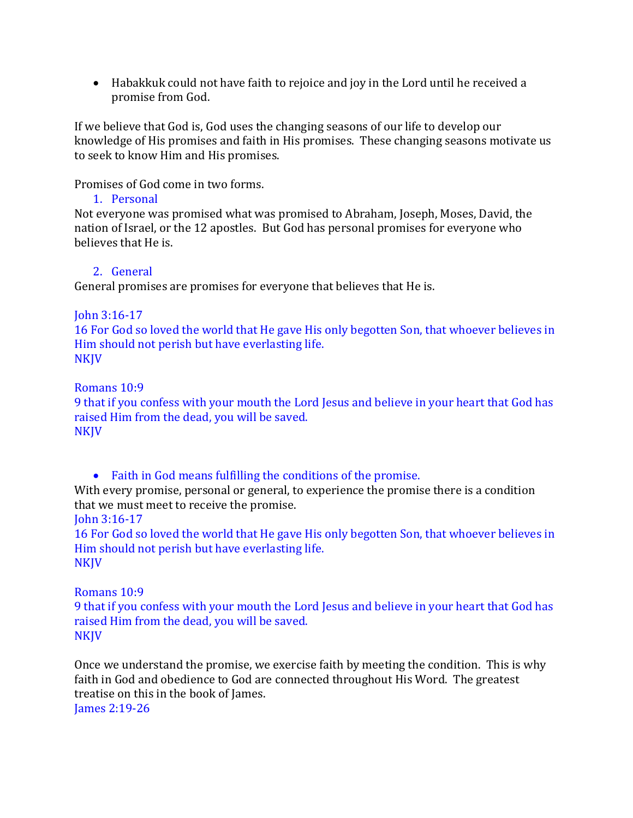Habakkuk could not have faith to rejoice and joy in the Lord until he received a promise from God.

If we believe that God is, God uses the changing seasons of our life to develop our knowledge of His promises and faith in His promises. These changing seasons motivate us to seek to know Him and His promises.

Promises of God come in two forms.

1. Personal

Not everyone was promised what was promised to Abraham, Joseph, Moses, David, the nation of Israel, or the 12 apostles. But God has personal promises for everyone who believes that He is.

### 2. General

General promises are promises for everyone that believes that He is.

### John 3:16-17

16 For God so loved the world that He gave His only begotten Son, that whoever believes in Him should not perish but have everlasting life. NKJV

Romans 10:9

9 that if you confess with your mouth the Lord Jesus and believe in your heart that God has raised Him from the dead, you will be saved. NKJV

Faith in God means fulfilling the conditions of the promise.

With every promise, personal or general, to experience the promise there is a condition that we must meet to receive the promise.

John 3:16-17

16 For God so loved the world that He gave His only begotten Son, that whoever believes in Him should not perish but have everlasting life. **NKJV** 

### Romans 10:9

9 that if you confess with your mouth the Lord Jesus and believe in your heart that God has raised Him from the dead, you will be saved. NKJV

Once we understand the promise, we exercise faith by meeting the condition. This is why faith in God and obedience to God are connected throughout His Word. The greatest treatise on this in the book of James. James 2:19-26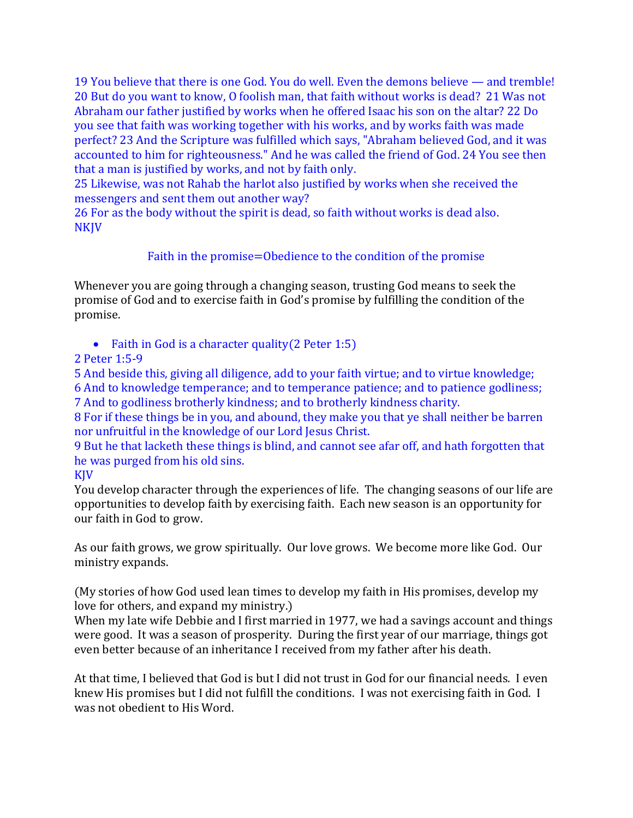19 You believe that there is one God. You do well. Even the demons believe — and tremble! 20 But do you want to know, O foolish man, that faith without works is dead? 21 Was not Abraham our father justified by works when he offered Isaac his son on the altar? 22 Do you see that faith was working together with his works, and by works faith was made perfect? 23 And the Scripture was fulfilled which says, "Abraham believed God, and it was accounted to him for righteousness." And he was called the friend of God. 24 You see then that a man is justified by works, and not by faith only.

25 Likewise, was not Rahab the harlot also justified by works when she received the messengers and sent them out another way?

26 For as the body without the spirit is dead, so faith without works is dead also. NKJV

### Faith in the promise=Obedience to the condition of the promise

Whenever you are going through a changing season, trusting God means to seek the promise of God and to exercise faith in God's promise by fulfilling the condition of the promise.

• Faith in God is a character quality (2 Peter 1:5)

2 Peter 1:5-9

5 And beside this, giving all diligence, add to your faith virtue; and to virtue knowledge; 6 And to knowledge temperance; and to temperance patience; and to patience godliness;

7 And to godliness brotherly kindness; and to brotherly kindness charity.

8 For if these things be in you, and abound, they make you that ye shall neither be barren nor unfruitful in the knowledge of our Lord Jesus Christ.

9 But he that lacketh these things is blind, and cannot see afar off, and hath forgotten that he was purged from his old sins.

KJV

You develop character through the experiences of life. The changing seasons of our life are opportunities to develop faith by exercising faith. Each new season is an opportunity for our faith in God to grow.

As our faith grows, we grow spiritually. Our love grows. We become more like God. Our ministry expands.

(My stories of how God used lean times to develop my faith in His promises, develop my love for others, and expand my ministry.)

When my late wife Debbie and I first married in 1977, we had a savings account and things were good. It was a season of prosperity. During the first year of our marriage, things got even better because of an inheritance I received from my father after his death.

At that time, I believed that God is but I did not trust in God for our financial needs. I even knew His promises but I did not fulfill the conditions. I was not exercising faith in God. I was not obedient to His Word.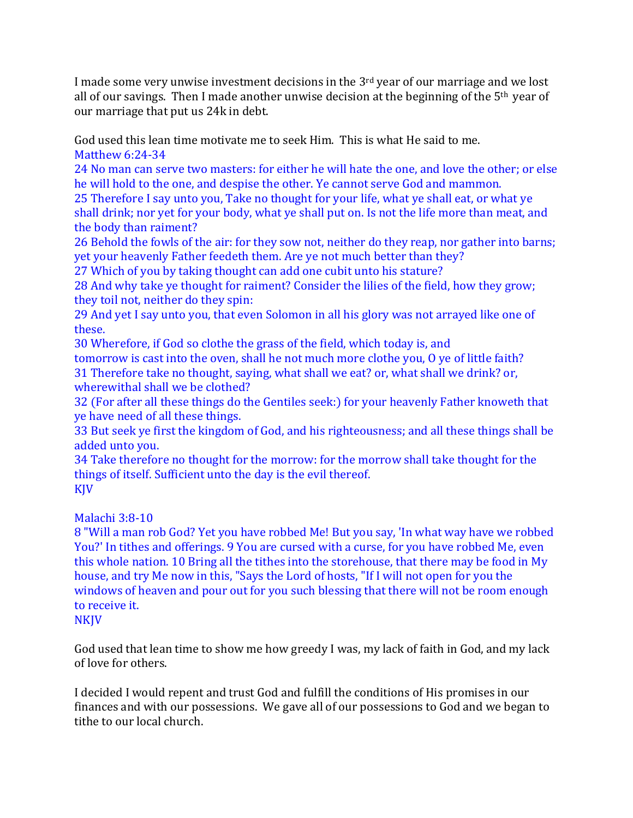I made some very unwise investment decisions in the  $3<sup>rd</sup>$  year of our marriage and we lost all of our savings. Then I made another unwise decision at the beginning of the  $5<sup>th</sup>$  year of our marriage that put us 24k in debt.

God used this lean time motivate me to seek Him. This is what He said to me. Matthew 6:24-34

24 No man can serve two masters: for either he will hate the one, and love the other; or else he will hold to the one, and despise the other. Ye cannot serve God and mammon.

25 Therefore I say unto you, Take no thought for your life, what ye shall eat, or what ye shall drink; nor yet for your body, what ye shall put on. Is not the life more than meat, and the body than raiment?

26 Behold the fowls of the air: for they sow not, neither do they reap, nor gather into barns; yet your heavenly Father feedeth them. Are ye not much better than they?

27 Which of you by taking thought can add one cubit unto his stature?

28 And why take ye thought for raiment? Consider the lilies of the field, how they grow; they toil not, neither do they spin:

29 And yet I say unto you, that even Solomon in all his glory was not arrayed like one of these.

30 Wherefore, if God so clothe the grass of the field, which today is, and

tomorrow is cast into the oven, shall he not much more clothe you, O ye of little faith? 31 Therefore take no thought, saying, what shall we eat? or, what shall we drink? or, wherewithal shall we be clothed?

32 (For after all these things do the Gentiles seek:) for your heavenly Father knoweth that ye have need of all these things.

33 But seek ye first the kingdom of God, and his righteousness; and all these things shall be added unto you.

34 Take therefore no thought for the morrow: for the morrow shall take thought for the things of itself. Sufficient unto the day is the evil thereof. KJV

Malachi 3:8-10

8 "Will a man rob God? Yet you have robbed Me! But you say, 'In what way have we robbed You?' In tithes and offerings. 9 You are cursed with a curse, for you have robbed Me, even this whole nation. 10 Bring all the tithes into the storehouse, that there may be food in My house, and try Me now in this, "Says the Lord of hosts, "If I will not open for you the windows of heaven and pour out for you such blessing that there will not be room enough to receive it.

God used that lean time to show me how greedy I was, my lack of faith in God, and my lack of love for others.

I decided I would repent and trust God and fulfill the conditions of His promises in our finances and with our possessions. We gave all of our possessions to God and we began to tithe to our local church.

**NKJV**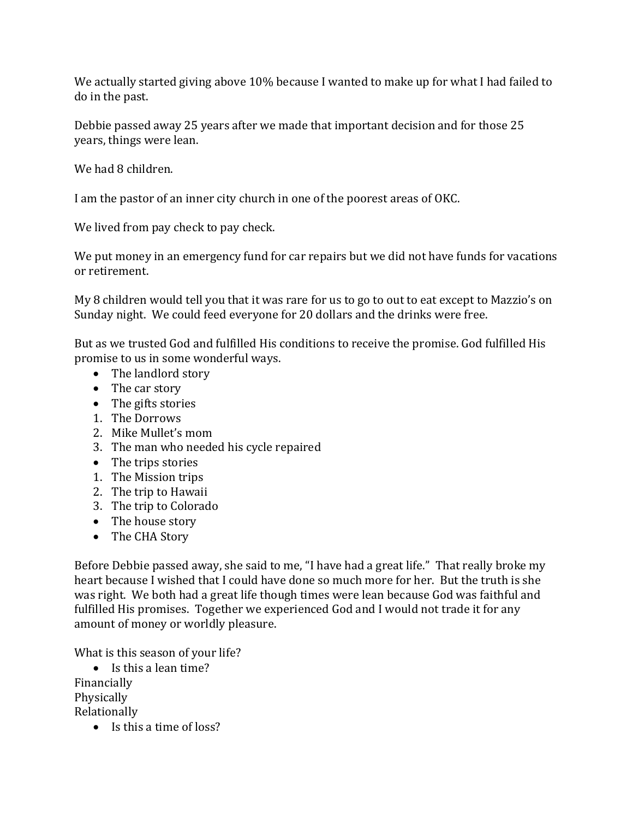We actually started giving above 10% because I wanted to make up for what I had failed to do in the past.

Debbie passed away 25 years after we made that important decision and for those 25 years, things were lean.

We had 8 children.

I am the pastor of an inner city church in one of the poorest areas of OKC.

We lived from pay check to pay check.

We put money in an emergency fund for car repairs but we did not have funds for vacations or retirement.

My 8 children would tell you that it was rare for us to go to out to eat except to Mazzio's on Sunday night. We could feed everyone for 20 dollars and the drinks were free.

But as we trusted God and fulfilled His conditions to receive the promise. God fulfilled His promise to us in some wonderful ways.

- The landlord story
- The car story
- The gifts stories
- 1. The Dorrows
- 2. Mike Mullet's mom
- 3. The man who needed his cycle repaired
- The trips stories
- 1. The Mission trips
- 2. The trip to Hawaii
- 3. The trip to Colorado
- The house story
- The CHA Story

Before Debbie passed away, she said to me, "I have had a great life." That really broke my heart because I wished that I could have done so much more for her. But the truth is she was right. We both had a great life though times were lean because God was faithful and fulfilled His promises. Together we experienced God and I would not trade it for any amount of money or worldly pleasure.

What is this season of your life?

- $\bullet$  Is this a lean time? Financially Physically Relationally
	- Is this a time of loss?